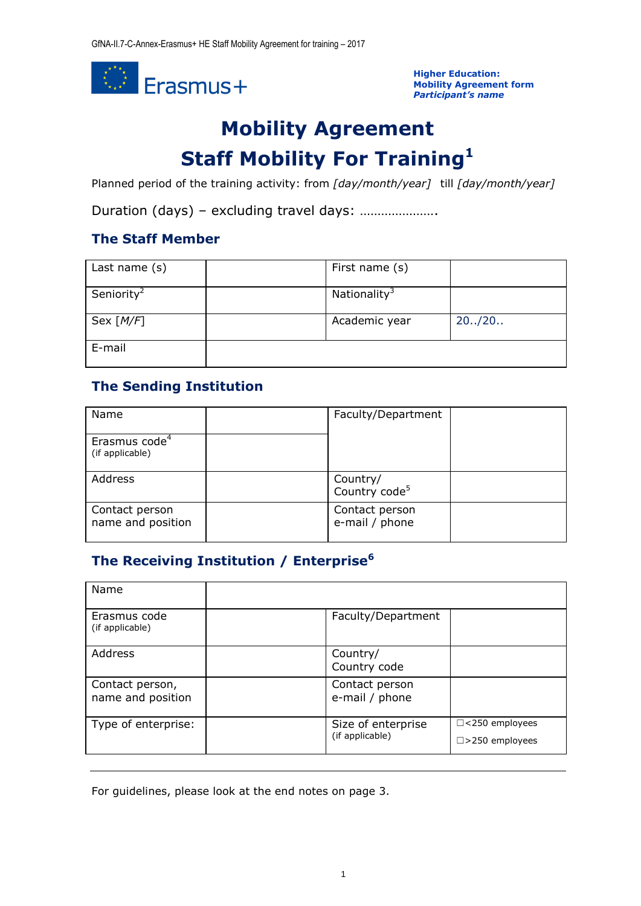

**Higher Education: Mobility Agreement form** *Participant's name*

# **Mobility Agreement Staff Mobility For Training<sup>1</sup>**

Planned period of the training activity: from *[day/month/year]* till *[day/month/year]*

Duration (days) – excluding travel days: ………………….

### **The Staff Member**

| Last name (s)          | First name (s)           |         |
|------------------------|--------------------------|---------|
| Seniority <sup>2</sup> | Nationality <sup>3</sup> |         |
| Sex $[M/F]$            | Academic year            | 20.720. |
| E-mail                 |                          |         |

# **The Sending Institution**

| Name                                         | Faculty/Department                    |  |
|----------------------------------------------|---------------------------------------|--|
| Erasmus code <sup>4</sup><br>(if applicable) |                                       |  |
| Address                                      | Country/<br>Country code <sup>5</sup> |  |
| Contact person<br>name and position          | Contact person<br>e-mail / phone      |  |

## **The Receiving Institution / Enterprise<sup>6</sup>**

| Name                                 |                                       |                                                   |
|--------------------------------------|---------------------------------------|---------------------------------------------------|
| Erasmus code<br>(if applicable)      | Faculty/Department                    |                                                   |
| Address                              | Country/<br>Country code              |                                                   |
| Contact person,<br>name and position | Contact person<br>e-mail / phone      |                                                   |
| Type of enterprise:                  | Size of enterprise<br>(if applicable) | $\Box$ <250 employees<br>$\square$ >250 employees |

For guidelines, please look at the end notes on page 3.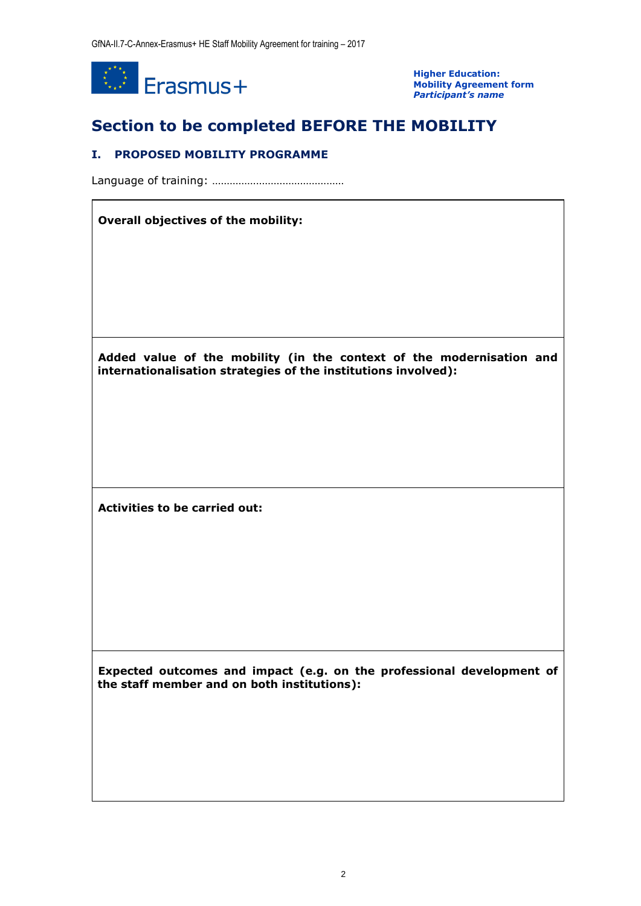

**Higher Education: Mobility Agreement form** *Participant's name*

# **Section to be completed BEFORE THE MOBILITY**

#### **I. PROPOSED MOBILITY PROGRAMME**

Language of training: ………………………………………

#### **Overall objectives of the mobility:**

**Added value of the mobility (in the context of the modernisation and internationalisation strategies of the institutions involved):**

**Activities to be carried out:**

**Expected outcomes and impact (e.g. on the professional development of the staff member and on both institutions):**